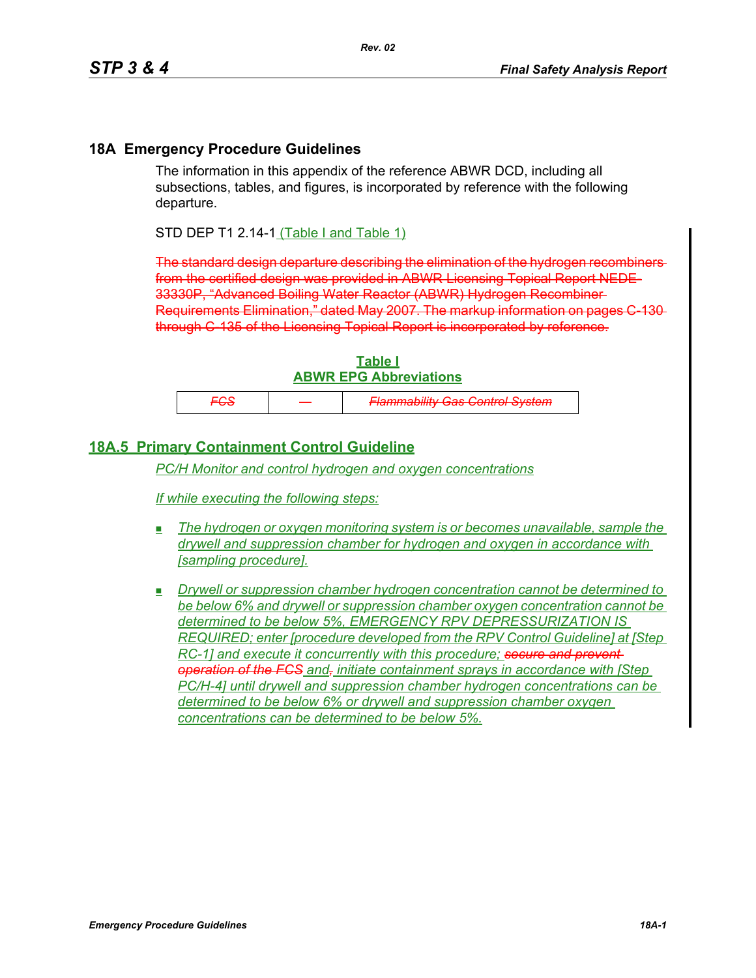## **18A Emergency Procedure Guidelines**

The information in this appendix of the reference ABWR DCD, including all subsections, tables, and figures, is incorporated by reference with the following departure.

STD DEP T1 2.14-1 (Table I and Table 1)

The standard design departure describing the elimination of the hydrogen recombiners from the certified design was provided in ABWR Licensing Topical Report NEDE-33330P, "Advanced Boiling Water Reactor (ABWR) Hydrogen Recombiner Requirements Elimination," dated May 2007. The markup information on pages C-130 through C-135 of the Licensing Topical Report is incorporated by reference.

| Table I                       |  |  |  |
|-------------------------------|--|--|--|
| <b>ABWR EPG Abbreviations</b> |  |  |  |

|--|

## **18A.5 Primary Containment Control Guideline**

*PC/H Monitor and control hydrogen and oxygen concentrations*

*If while executing the following steps:*

- *The hydrogen or oxygen monitoring system is or becomes unavailable, sample the drywell and suppression chamber for hydrogen and oxygen in accordance with [sampling procedure].*
- *Drywell or suppression chamber hydrogen concentration cannot be determined to be below 6% and drywell or suppression chamber oxygen concentration cannot be determined to be below 5%, EMERGENCY RPV DEPRESSURIZATION IS REQUIRED; enter [procedure developed from the RPV Control Guideline] at [Step RC-1] and execute it concurrently with this procedure; secure and prevent operation of the FCS and, initiate containment sprays in accordance with [Step PC/H-4] until drywell and suppression chamber hydrogen concentrations can be determined to be below 6% or drywell and suppression chamber oxygen concentrations can be determined to be below 5%.*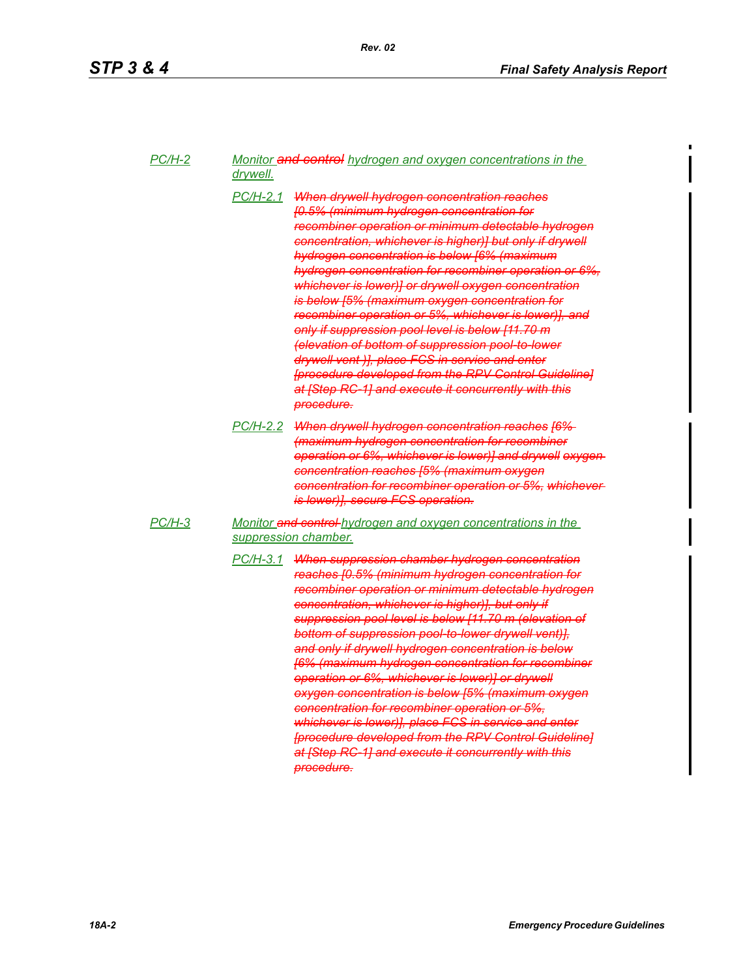*PC/H-2 Monitor and control hydrogen and oxygen concentrations in the drywell.*

- *PC/H-2.1 When drywell hydrogen concentration reaches [0.5% (minimum hydrogen concentration for recombiner operation or minimum detectable hydrogen concentration, whichever is higher)] but only if drywell hydrogen concentration is below [6% (maximum hydrogen concentration for recombiner operation or 6%, whichever is lower)] or drywell oxygen concentration is below [5% (maximum oxygen concentration for recombiner operation or 5%, whichever is lower)], and only if suppression pool level is below [11.70 m (elevation of bottom of suppression pool-to-lower drywell vent )], place FCS in service and enter [procedure developed from the RPV Control Guideline] at [Step RC-1] and execute it concurrently with this procedure.*
- *PC/H-2.2 When drywell hydrogen concentration reaches [6% (maximum hydrogen concentration for recombiner operation or 6%, whichever is lower)] and drywell oxygen concentration reaches [5% (maximum oxygen concentration for recombiner operation or 5%, whichever is lower)], secure FCS operation.*
- *PC/H-3 Monitor and control hydrogen and oxygen concentrations in the suppression chamber.*
	- *PC/H-3.1 When suppression chamber hydrogen concentration reaches [0.5% (minimum hydrogen concentration for recombiner operation or minimum detectable hydrogen concentration, whichever is higher)], but only if suppression pool level is below [11.70 m (elevation of bottom of suppression pool-to-lower drywell vent)], and only if drywell hydrogen concentration is below [6% (maximum hydrogen concentration for recombiner operation or 6%, whichever is lower)] or drywell oxygen concentration is below [5% (maximum oxygen concentration for recombiner operation or 5%, whichever is lower)], place FCS in service and enter [procedure developed from the RPV Control Guideline] at [Step RC-1] and execute it concurrently with this procedure.*